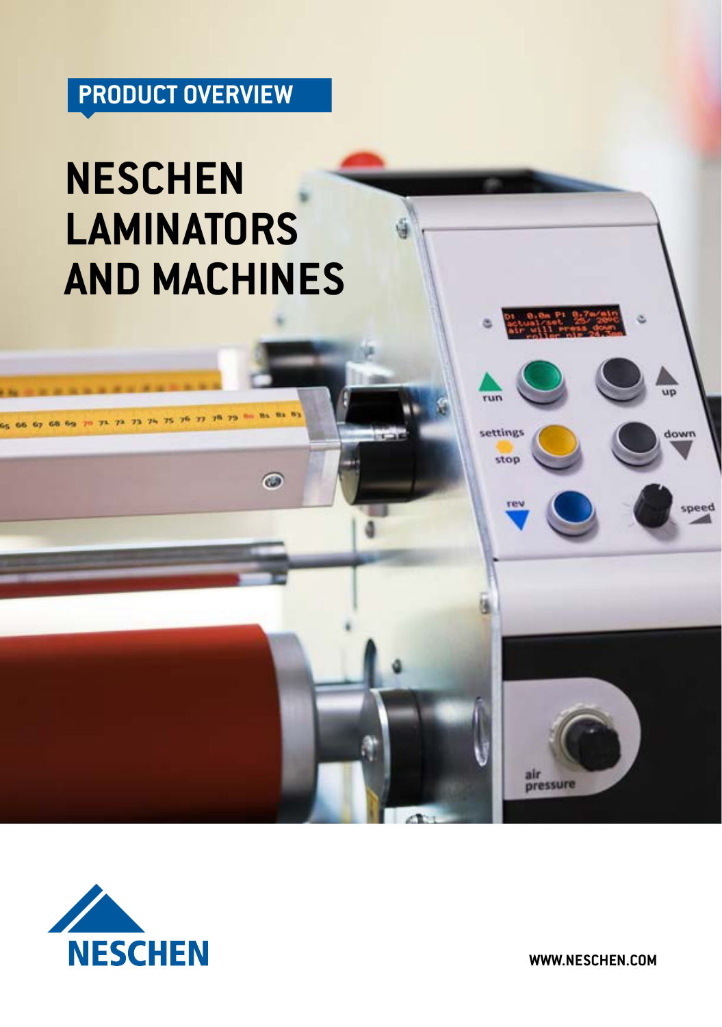# **PRODUCT OVERVIEW**

# **NESCHEN LAMINATORS AND MACHINES**

 $\omega$ 



**WWW.NESCHEN.COM**

air<br>pressure

 $\overline{qp}$ 

mwob

speed

run

settings

stop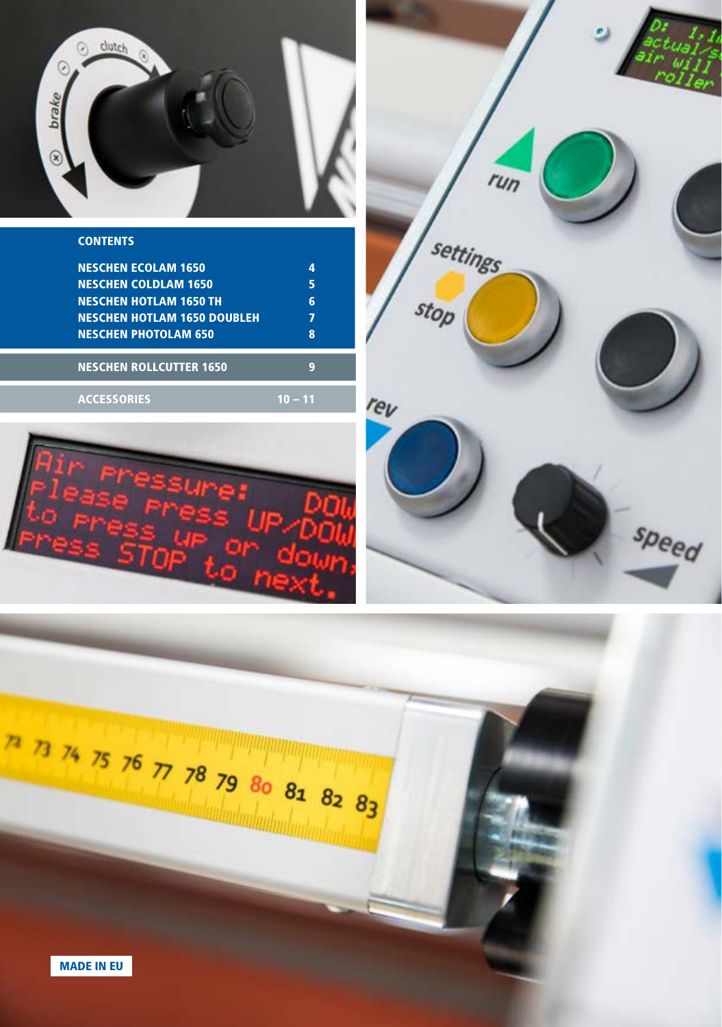

| <b>CONTENTS</b> |  |
|-----------------|--|
|                 |  |

| <b>NESCHEN ECOLAM 1650</b>         |   |
|------------------------------------|---|
| <b>NESCHEN COLDLAM 1650</b>        |   |
| <b>NESCHEN HOTLAM 1650 TH</b>      |   |
| <b>NESCHEN HOTLAM 1650 DOUBLEH</b> | 7 |
| <b>NESCHEN PHOTOLAM 650</b>        |   |
| <b>NESCHEN ROLLCUTTER 1650</b>     | c |
|                                    |   |
| <b>ACCESSORIES</b>                 |   |





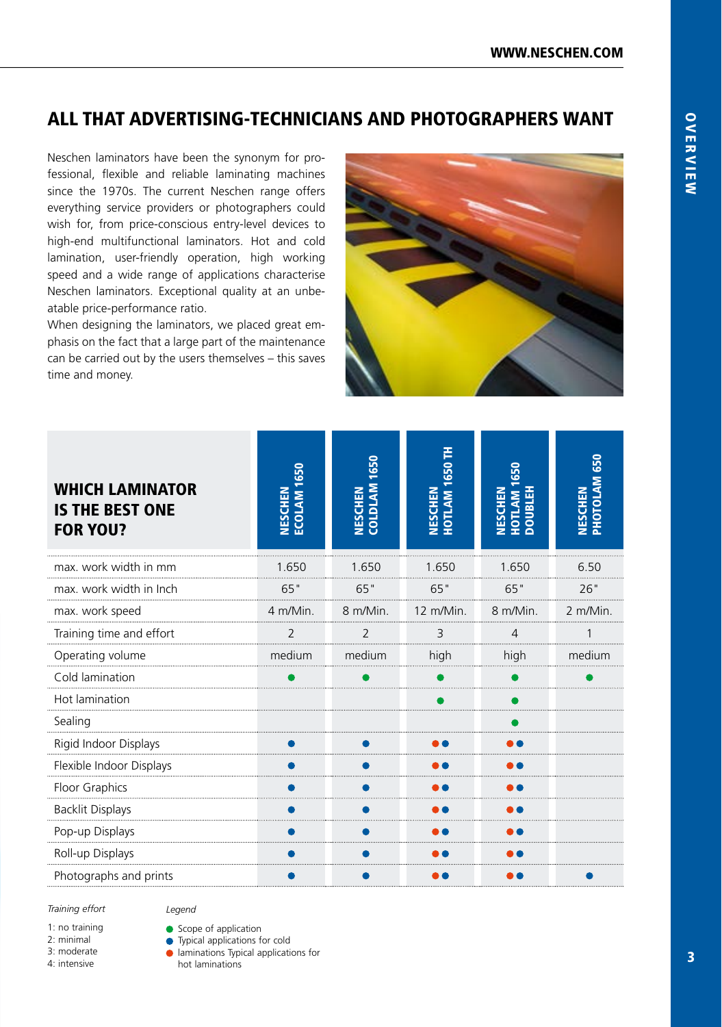#### ALL THAT ADVERTISING-TECHNICIANS AND PHOTOGRAPHERS WANT

Neschen laminators have been the synonym for professional, flexible and reliable laminating machines since the 1970s. The current Neschen range offers everything service providers or photographers could wish for, from price-conscious entry-level devices to high-end multifunctional laminators. Hot and cold lamination, user-friendly operation, high working speed and a wide range of applications characterise Neschen laminators. Exceptional quality at an unbeatable price-performance ratio.

When designing the laminators, we placed great emphasis on the fact that a large part of the maintenance can be carried out by the users themselves – this saves time and money.



| <b>WHICH LAMINATOR</b><br><b>THE BEST ONE</b><br>IS<br><b>FOR YOU?</b> | <b>NESCHEN<br/>ECOLAM 1650</b> | 1650<br><b>NESCHEN</b><br>COLDLAM 1 | HOTLAM 1650 TH<br><b>NESCHEN</b> | NESCHEN<br>HOTLAM 1650<br>DOUBLEH | PHOTOLAM 650<br><b>NESCHEN</b> |
|------------------------------------------------------------------------|--------------------------------|-------------------------------------|----------------------------------|-----------------------------------|--------------------------------|
| max. work width in mm                                                  | 1.650                          | 1.650                               | 1.650                            | 1.650                             | 6.50                           |
| max. work width in Inch                                                | 65"                            | 65"                                 | 65"                              | 65"                               | 26"                            |
| max. work speed                                                        | 4 m/Min.                       | 8 m/Min.                            | 12 m/Min.                        | 8 m/Min.                          | 2 m/Min.                       |
| Training time and effort                                               | 2                              | 2                                   | 3                                | 4                                 |                                |
| Operating volume                                                       | medium                         | medium                              | high                             | high                              | medium                         |
| Cold lamination                                                        |                                |                                     |                                  |                                   |                                |
| Hot lamination                                                         |                                |                                     |                                  |                                   |                                |
| Sealing                                                                |                                |                                     |                                  |                                   |                                |
| Rigid Indoor Displays                                                  |                                |                                     |                                  |                                   |                                |
| Flexible Indoor Displays                                               |                                |                                     |                                  |                                   |                                |
| Floor Graphics                                                         |                                |                                     |                                  |                                   |                                |
| <b>Backlit Displays</b>                                                |                                |                                     |                                  |                                   |                                |
| Pop-up Displays                                                        |                                |                                     |                                  |                                   |                                |
| Roll-up Displays                                                       |                                |                                     |                                  |                                   |                                |
| Photographs and prints                                                 |                                |                                     |                                  |                                   |                                |

#### *Training effort*

1: no training

2: minimal

3: moderate

4: intensive

● Scope of application

**•** Typical applications for cold

**Imminations Typical applications for** 

hot laminations

*Legend*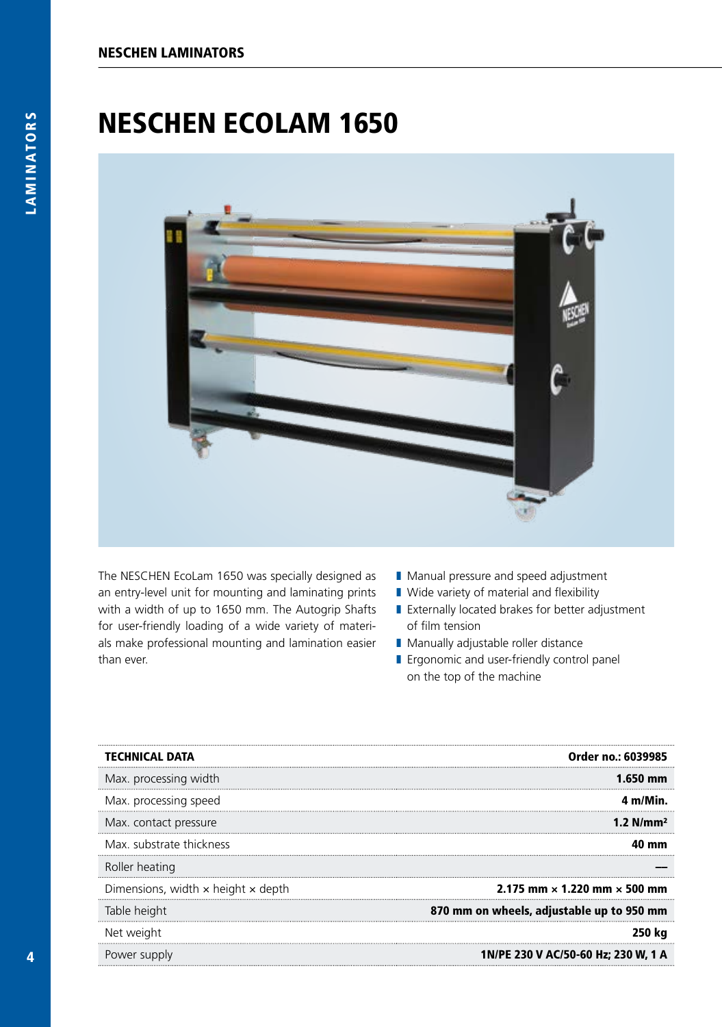### NESCHEN ECOLAM 1650



The NESCHEN EcoLam 1650 was specially designed as an entry-level unit for mounting and laminating prints with a width of up to 1650 mm. The Autogrip Shafts for user-friendly loading of a wide variety of materials make professional mounting and lamination easier than ever.

- Manual pressure and speed adjustment
- Wide variety of material and flexibility
- Externally located brakes for better adjustment of film tension
- Manually adjustable roller distance
- Ergonomic and user-friendly control panel on the top of the machine

| <b>TECHNICAL DATA</b>                            | Order no.: 6039985                         |
|--------------------------------------------------|--------------------------------------------|
| Max. processing width                            | 1.650 mm                                   |
| Max. processing speed                            | 4 m/Min.                                   |
| Max. contact pressure                            | 1.2 $N/mm^2$                               |
| Max. substrate thickness                         | mm                                         |
| Roller heating                                   |                                            |
| Dimensions, width $\times$ height $\times$ depth | 2.175 mm $\times$ 1.220 mm $\times$ 500 mm |
| Table height                                     | 870 mm on wheels, adjustable up to 950 mm  |
| Net weight                                       | 250 kg                                     |
| Power supply                                     | 1N/PE 230 V AC/50-60 Hz; 230 W, 1 A        |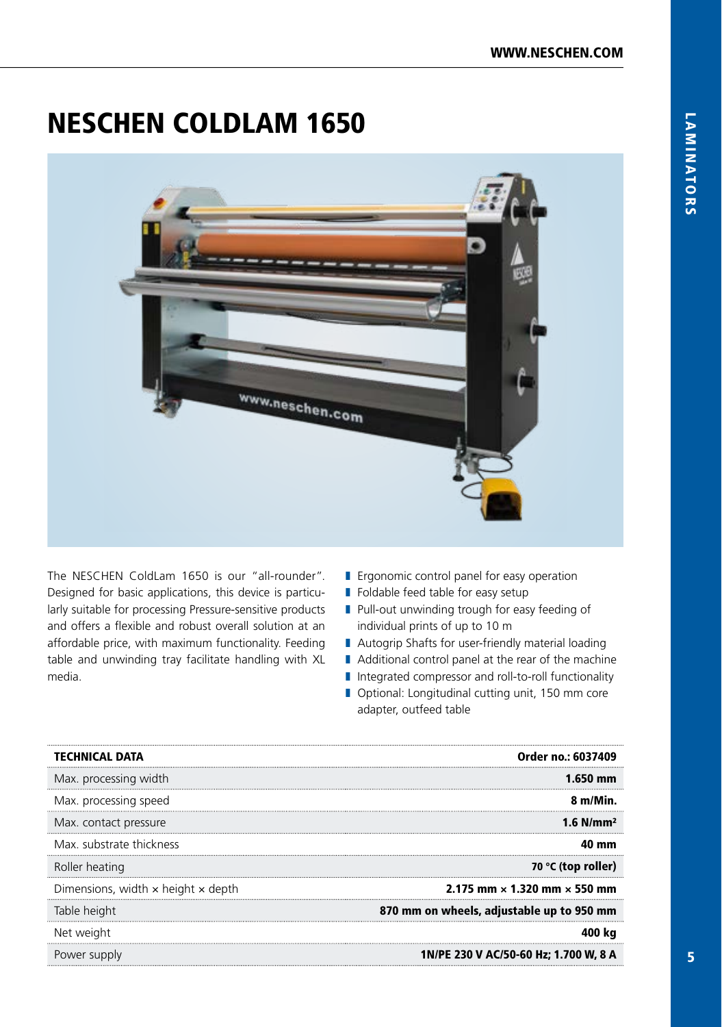### NESCHEN COLDLAM 1650



The NESCHEN ColdLam 1650 is our "all-rounder". Designed for basic applications, this device is particularly suitable for processing Pressure-sensitive products and offers a flexible and robust overall solution at an affordable price, with maximum functionality. Feeding table and unwinding tray facilitate handling with XL media.

- Ergonomic control panel for easy operation
- Foldable feed table for easy setup
- Pull-out unwinding trough for easy feeding of individual prints of up to 10 m
- Autogrip Shafts for user-friendly material loading
- Additional control panel at the rear of the machine
- Integrated compressor and roll-to-roll functionality
- Optional: Longitudinal cutting unit, 150 mm core adapter, outfeed table

| <b>TECHNICAL DATA</b>                            | Order no.: 6037409                         |
|--------------------------------------------------|--------------------------------------------|
| Max. processing width                            | 1.650 mm                                   |
| Max. processing speed                            | 8 m/Min.                                   |
| Max. contact pressure                            | $1.6$ N/mm <sup>2</sup>                    |
| Max. substrate thickness                         | mm                                         |
| Roller heating                                   | 70 °C (top roller)                         |
| Dimensions, width $\times$ height $\times$ depth | 2.175 mm $\times$ 1.320 mm $\times$ 550 mm |
| Table height                                     | 870 mm on wheels, adjustable up to 950 mm  |
| Net weight                                       | 400 ka                                     |
| Power supply                                     | 1N/PE 230 V AC/50-60 Hz; 1.700 W, 8 A      |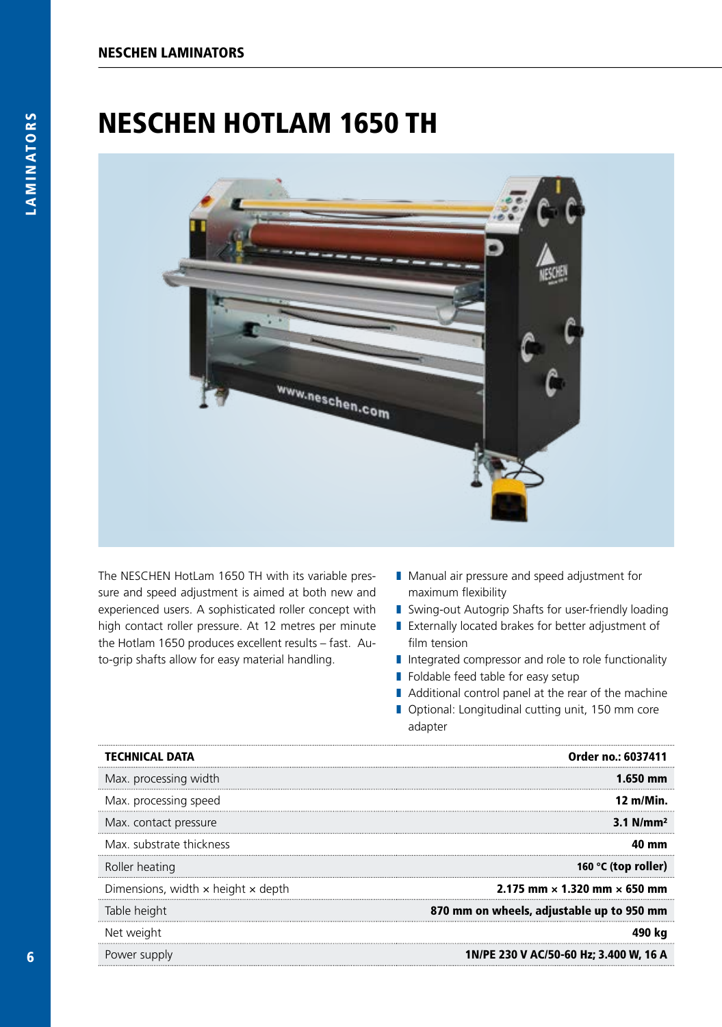### NESCHEN HOTLAM 1650 TH



The NESCHEN HotLam 1650 TH with its variable pressure and speed adjustment is aimed at both new and experienced users. A sophisticated roller concept with high contact roller pressure. At 12 metres per minute the Hotlam 1650 produces excellent results – fast. Auto-grip shafts allow for easy material handling.

- Manual air pressure and speed adjustment for maximum flexibility
- Swing-out Autogrip Shafts for user-friendly loading
- Externally located brakes for better adjustment of film tension
- Integrated compressor and role to role functionality
- Foldable feed table for easy setup
- Additional control panel at the rear of the machine
- Optional: Longitudinal cutting unit, 150 mm core adapter

| <b>TECHNICAL DATA</b>              | Order no.: 6037411                         |
|------------------------------------|--------------------------------------------|
| Max. processing width              | $1.650$ mm                                 |
| Max. processing speed              | 12 m/Min.                                  |
| Max. contact pressure              | $3.1$ N/mm <sup>2</sup>                    |
| Max. substrate thickness           | 40 mm                                      |
| Roller heating                     | 160 °C (top roller)                        |
| Dimensions, width x height x depth | 2.175 mm $\times$ 1.320 mm $\times$ 650 mm |
| Table height                       | 870 mm on wheels, adjustable up to 950 mm  |
| Net weight                         |                                            |
| Power supply                       | 1N/PE 230 V AC/50-60 Hz; 3.400 W, 16 A     |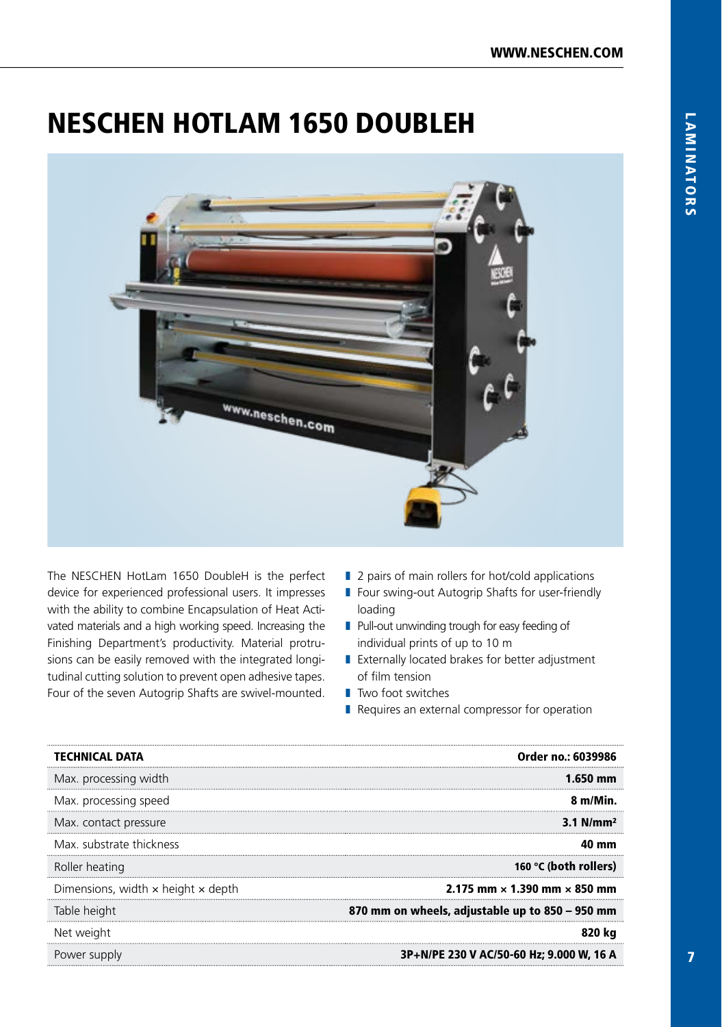## NESCHEN HOTLAM 1650 DOUBLEH



The NESCHEN HotLam 1650 DoubleH is the perfect device for experienced professional users. It impresses with the ability to combine Encapsulation of Heat Activated materials and a high working speed. Increasing the Finishing Department's productivity. Material protrusions can be easily removed with the integrated longitudinal cutting solution to prevent open adhesive tapes. Four of the seven Autogrip Shafts are swivel-mounted.

- 2 pairs of main rollers for hot/cold applications
- Four swing-out Autogrip Shafts for user-friendly loading
- Pull-out unwinding trough for easy feeding of individual prints of up to 10 m
- Externally located brakes for better adjustment of film tension
- Two foot switches
- Requires an external compressor for operation

| <b>TECHNICAL DATA</b>                            | Order no.: 6039986                              |
|--------------------------------------------------|-------------------------------------------------|
| Max. processing width                            | 1.650 mm                                        |
| Max. processing speed                            | 8 m/Min.                                        |
| Max. contact pressure                            | $3.1$ N/mm <sup>2</sup>                         |
| Max. substrate thickness                         | .N mm                                           |
| Roller heating                                   | 160 °C (both rollers)                           |
| Dimensions, width $\times$ height $\times$ depth | 2.175 mm $\times$ 1.390 mm $\times$ 850 mm      |
| Table height                                     | 870 mm on wheels, adjustable up to 850 - 950 mm |
| Net weight                                       | 820 ka                                          |
| Power supply                                     | 3P+N/PE 230 V AC/50-60 Hz; 9.000 W, 16 A        |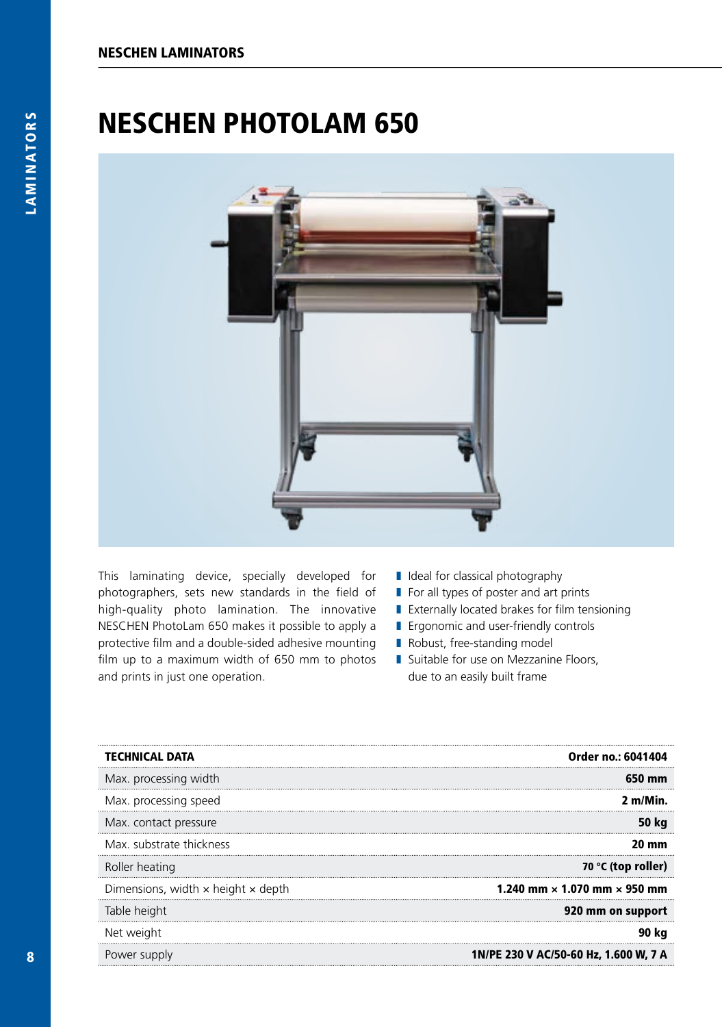### NESCHEN PHOTOLAM 650



This laminating device, specially developed for photographers, sets new standards in the field of high-quality photo lamination. The innovative NESCHEN PhotoLam 650 makes it possible to apply a protective film and a double-sided adhesive mounting film up to a maximum width of 650 mm to photos and prints in just one operation.

- Ideal for classical photography
- For all types of poster and art prints
- Externally located brakes for film tensioning
- Ergonomic and user-friendly controls
- Robust, free-standing model
- Suitable for use on Mezzanine Floors, due to an easily built frame

| <b>TECHNICAL DATA</b>                            | Order no.: 6041404                         |
|--------------------------------------------------|--------------------------------------------|
| Max. processing width                            | 650 mm                                     |
| Max. processing speed                            | 2 m/Min                                    |
| Max. contact pressure                            | 50 kg                                      |
| Max. substrate thickness                         | 20 mm                                      |
| Roller heating                                   | 70 °C (top roller)                         |
| Dimensions, width $\times$ height $\times$ depth | 1.240 mm $\times$ 1.070 mm $\times$ 950 mm |
| Table height                                     | 920 mm on support                          |
| Net weight                                       | 90 ka                                      |
| Power supply                                     | 1N/PE 230 V AC/50-60 Hz, 1.600 W, 7 A      |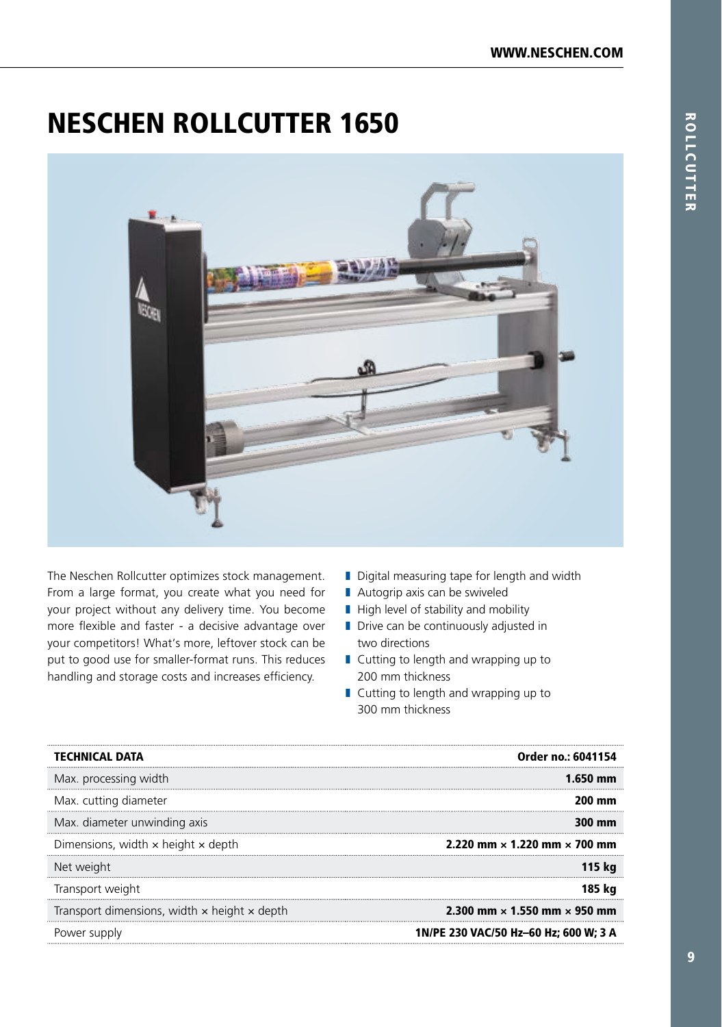#### NESCHEN ROLLCUTTER 1650



The Neschen Rollcutter optimizes stock management. From a large format, you create what you need for your project without any delivery time. You become more flexible and faster - a decisive advantage over your competitors! What's more, leftover stock can be put to good use for smaller-format runs. This reduces handling and storage costs and increases efficiency.

- Digital measuring tape for length and width
- Autogrip axis can be swiveled
- High level of stability and mobility
- Drive can be continuously adjusted in two directions
- Cutting to length and wrapping up to 200 mm thickness
- Cutting to length and wrapping up to 300 mm thickness

| <b>TECHNICAL DATA</b>                                      | Order no.: 6041154                         |
|------------------------------------------------------------|--------------------------------------------|
| Max. processing width                                      | 1.650 mm                                   |
| Max. cutting diameter                                      | 200 mm                                     |
| Max. diameter unwinding axis                               | $300 \text{ mm}$                           |
| Dimensions, width $\times$ height $\times$ depth           | 2.220 mm $\times$ 1.220 mm $\times$ 700 mm |
| Net weight                                                 | 115 ka                                     |
| Transport weight                                           | 185 ka                                     |
| Transport dimensions, width $\times$ height $\times$ depth | 2.300 mm $\times$ 1.550 mm $\times$ 950 mm |
| Power supply                                               | 1N/PE 230 VAC/50 Hz-60 Hz; 600 W; 3 A      |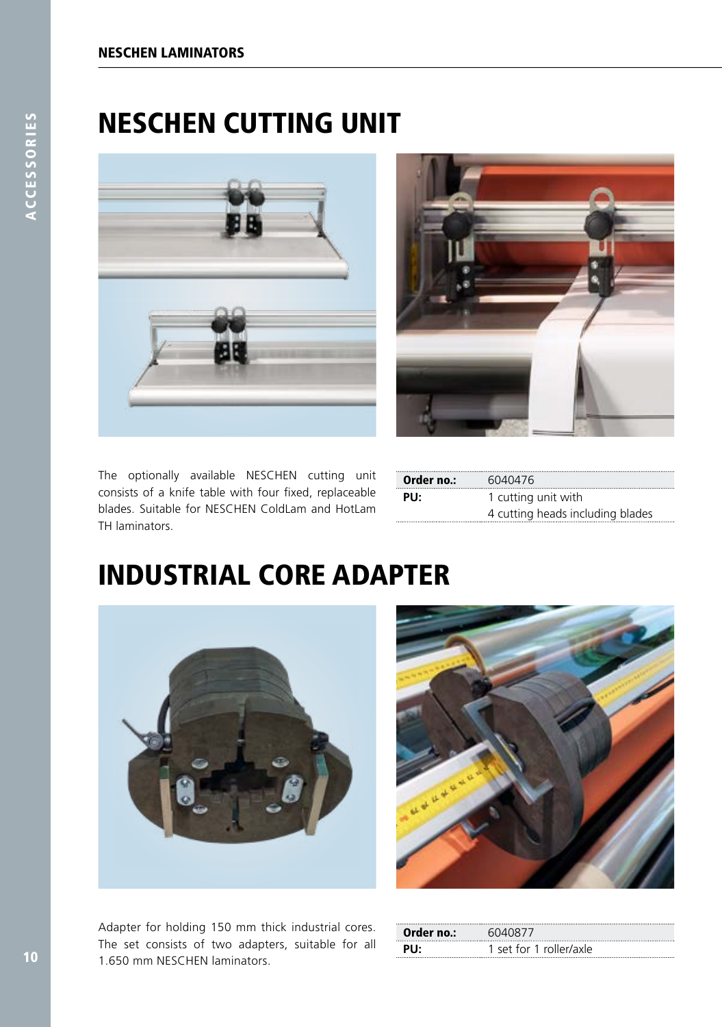### NESCHEN CUTTING UNIT





The optionally available NESCHEN cutting unit consists of a knife table with four fixed, replaceable blades. Suitable for NESCHEN ColdLam and HotLam TH laminators.

| <b>Order no.:</b> $6040476$ |                                  |
|-----------------------------|----------------------------------|
| PU:                         | 1 cutting unit with              |
|                             | 4 cutting heads including blades |

### INDUSTRIAL CORE ADAPTER



Adapter for holding 150 mm thick industrial cores. The set consists of two adapters, suitable for all 1.650 mm NESCHEN laminators.



| Order no.: | 6040877                 |
|------------|-------------------------|
| Plŀ        | 1 set for 1 roller/axle |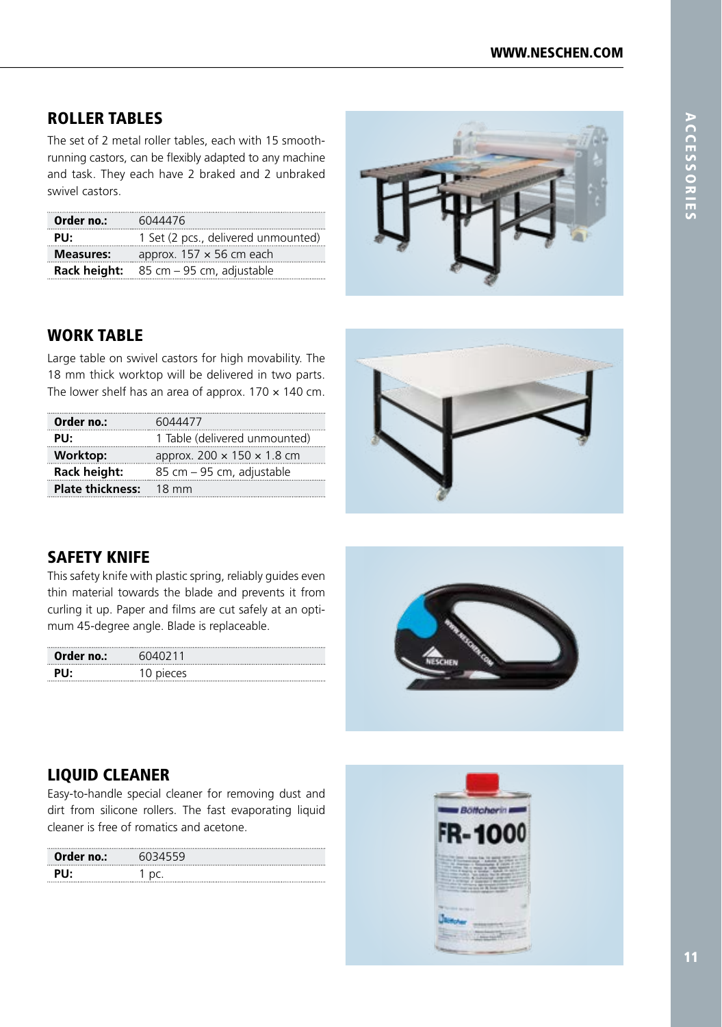#### ROLLER TABLES

The set of 2 metal roller tables, each with 15 smoothrunning castors, can be flexibly adapted to any machine and task. They each have 2 braked and 2 unbraked swivel castors.

| Order no.:       | 6044476                                                          |
|------------------|------------------------------------------------------------------|
| PU:              | 1 Set (2 pcs., delivered unmounted)                              |
| <b>Measures:</b> | approx. $157 \times 56$ cm each                                  |
|                  | <b>Rack height:</b> $85 \text{ cm} - 95 \text{ cm}$ , adjustable |



#### WORK TABLE

Large table on swivel castors for high movability. The 18 mm thick worktop will be delivered in two parts. The lower shelf has an area of approx.  $170 \times 140$  cm.

| Order no.:                    | 6044477                                |
|-------------------------------|----------------------------------------|
| PU:                           | 1 Table (delivered unmounted)          |
| <b>Worktop:</b>               | approx. $200 \times 150 \times 1.8$ cm |
| Rack height:                  | 85 cm - 95 cm, adjustable              |
| <b>Plate thickness:</b> 18 mm |                                        |
|                               |                                        |



#### SAFETY KNIFE

This safety knife with plastic spring, reliably guides even thin material towards the blade and prevents it from curling it up. Paper and films are cut safely at an opti mum 45-degree angle. Blade is replaceable.

| Order no.: | 6040211   |
|------------|-----------|
| PU:        | 10 pieces |
|            |           |



#### LIQUID CLEANER

Easy-to-handle special cleaner for removing dust and dirt from silicone rollers. The fast evaporating liquid cleaner is free of romatics and acetone.

|            | <b>603455'</b> |
|------------|----------------|
| Order no.: |                |
| PH<br>     | .              |